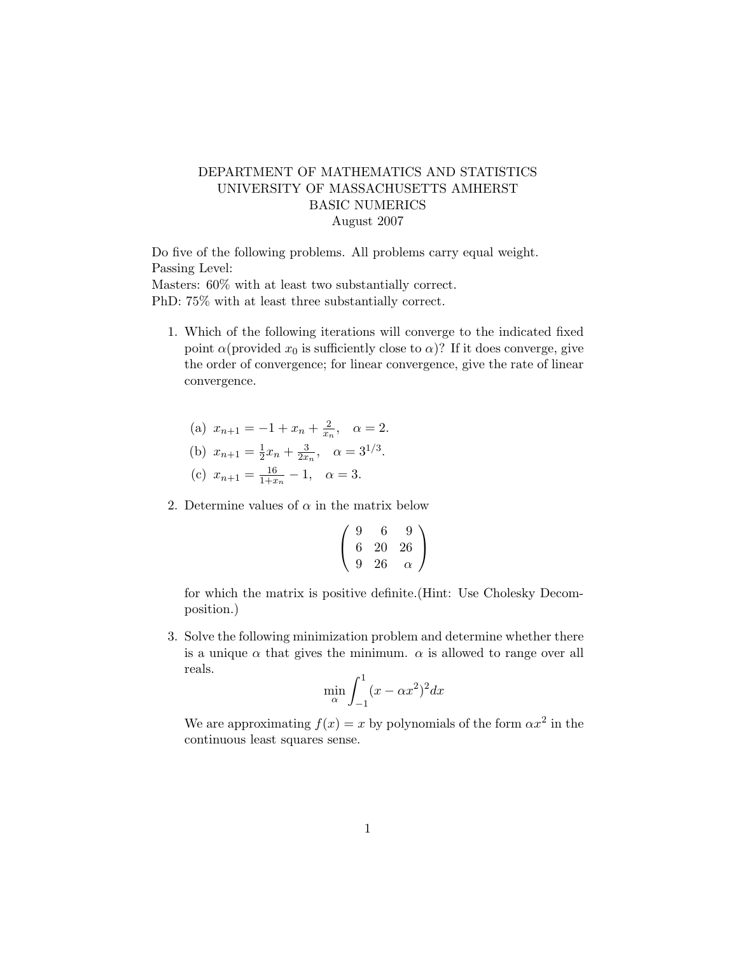## DEPARTMENT OF MATHEMATICS AND STATISTICS UNIVERSITY OF MASSACHUSETTS AMHERST BASIC NUMERICS August 2007

Do five of the following problems. All problems carry equal weight. Passing Level: Masters: 60% with at least two substantially correct. PhD: 75% with at least three substantially correct.

- 1. Which of the following iterations will converge to the indicated fixed point  $\alpha$ (provided  $x_0$  is sufficiently close to  $\alpha$ )? If it does converge, give the order of convergence; for linear convergence, give the rate of linear convergence.
	- (a)  $x_{n+1} = -1 + x_n + \frac{2}{x_n}$  $\frac{2}{x_n}, \quad \alpha = 2.$
	- (b)  $x_{n+1} = \frac{1}{2}$  $rac{1}{2}x_n + \frac{3}{2x}$  $\frac{3}{2x_n}, \alpha = 3^{1/3}.$ (c)  $x_{n+1} = \frac{16}{1+x}$  $\frac{16}{1+x_n} - 1, \quad \alpha = 3.$
- 2. Determine values of  $\alpha$  in the matrix below

$$
\left(\begin{array}{ccc} 9 & 6 & 9 \\ 6 & 20 & 26 \\ 9 & 26 & \alpha \end{array}\right)
$$

for which the matrix is positive definite.(Hint: Use Cholesky Decomposition.)

3. Solve the following minimization problem and determine whether there is a unique  $\alpha$  that gives the minimum.  $\alpha$  is allowed to range over all reals.

$$
\min_{\alpha} \int_{-1}^{1} (x - \alpha x^2)^2 dx
$$

We are approximating  $f(x) = x$  by polynomials of the form  $\alpha x^2$  in the continuous least squares sense.